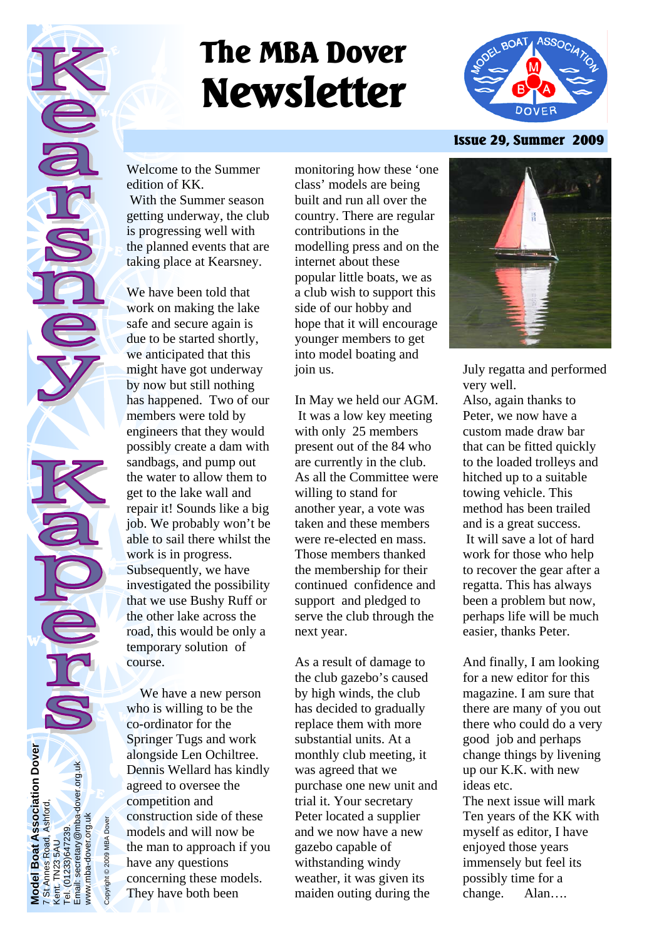# **The MBA Dover Newsletter**



#### **Issue 29, Summer 2009**

Welcome to the Summer edition of KK. With the Summer season getting underway, the club is progressing well with the planned events that are taking place at Kearsney.

We have been told that work on making the lake safe and secure again is due to be started shortly, we anticipated that this might have got underway by now but still nothing has happened. Two of our members were told by engineers that they would possibly create a dam with sandbags, and pump out the water to allow them to get to the lake wall and repair it! Sounds like a big job. We probably won't be able to sail there whilst the work is in progress. Subsequently, we have investigated the possibility that we use Bushy Ruff or the other lake across the road, this would be only a temporary solution of course.

 We have a new person who is willing to be the co-ordinator for the Springer Tugs and work alongside Len Ochiltree. Dennis Wellard has kindly agreed to oversee the competition and construction side of these models and will now be the man to approach if you have any questions concerning these models. They have both been

monitoring how these 'one class' models are being built and run all over the country. There are regular contributions in the modelling press and on the internet about these popular little boats, we as a club wish to support this side of our hobby and hope that it will encourage younger members to get into model boating and join us.

In May we held our AGM. It was a low key meeting with only 25 members present out of the 84 who are currently in the club. As all the Committee were willing to stand for another year, a vote was taken and these members were re-elected en mass. Those members thanked the membership for their continued confidence and support and pledged to serve the club through the next year.

As a result of damage to the club gazebo's caused by high winds, the club has decided to gradually replace them with more substantial units. At a monthly club meeting, it was agreed that we purchase one new unit and trial it. Your secretary Peter located a supplier and we now have a new gazebo capable of withstanding windy weather, it was given its maiden outing during the



July regatta and performed very well.

Also, again thanks to Peter, we now have a custom made draw bar that can be fitted quickly to the loaded trolleys and hitched up to a suitable towing vehicle. This method has been trailed and is a great success. It will save a lot of hard work for those who help to recover the gear after a regatta. This has always been a problem but now, perhaps life will be much easier, thanks Peter.

And finally, I am looking for a new editor for this magazine. I am sure that there are many of you out there who could do a very good job and perhaps change things by livening up our K.K. with new ideas etc.

The next issue will mark Ten years of the KK with myself as editor, I have enjoyed those years immensely but feel its possibly time for a change. Alan….

Model Boat Association Dover<br>7 St Annes Road, Ashford,<br>Kent. TN23 5AU<br>Tel. (01233)647239.<br>Email: secretary@mba-dover.org.uk Email: secretary@mba-dover.org.uk www.mba-dover.org.uk www.mba-dover.org.uk

Copyright © 2009 MBA Dover

opyright © 2009 MBA Dover

**Model Boat Association Dover** 

7 St Annes Road, Ashford,

Kent. TN23 5AU Tel. (01233)647239.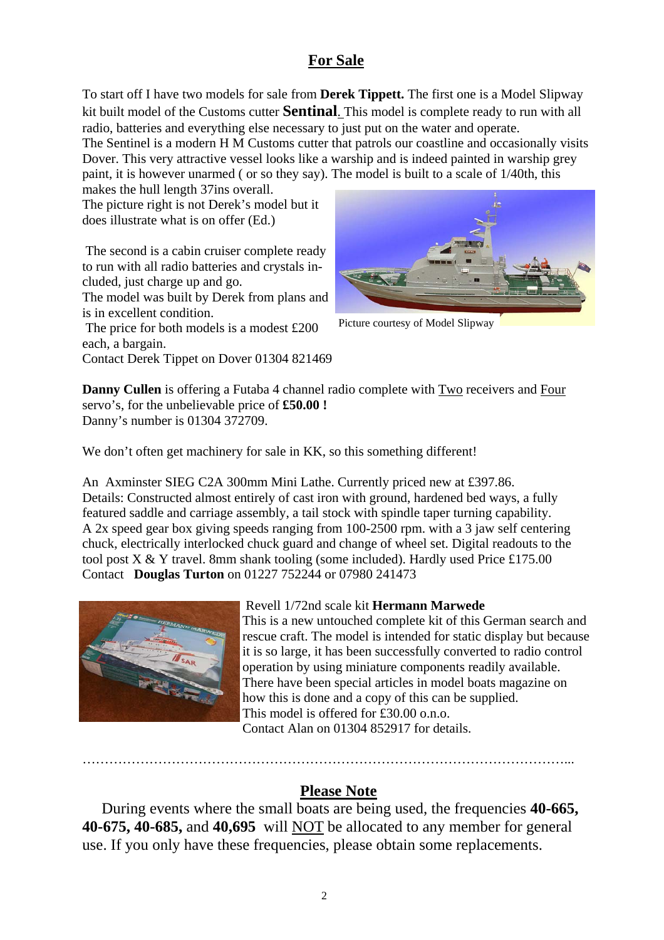### **For Sale**

To start off I have two models for sale from **Derek Tippett.** The first one is a Model Slipway kit built model of the Customs cutter **Sentinal**. This model is complete ready to run with all radio, batteries and everything else necessary to just put on the water and operate.

The Sentinel is a modern H M Customs cutter that patrols our coastline and occasionally visits Dover. This very attractive vessel looks like a warship and is indeed painted in warship grey paint, it is however unarmed ( or so they say). The model is built to a scale of 1/40th, this

makes the hull length 37ins overall. The picture right is not Derek's model but it does illustrate what is on offer (Ed.)

 The second is a cabin cruiser complete ready to run with all radio batteries and crystals included, just charge up and go.

The model was built by Derek from plans and is in excellent condition.

 The price for both models is a modest £200 each, a bargain.

Contact Derek Tippet on Dover 01304 821469



Picture courtesy of Model Slipway

**Danny Cullen** is offering a Futaba 4 channel radio complete with Two receivers and Four servo's, for the unbelievable price of **£50.00 !**  Danny's number is 01304 372709.

We don't often get machinery for sale in KK, so this something different!

An Axminster SIEG C2A 300mm Mini Lathe. Currently priced new at £397.86. Details: Constructed almost entirely of cast iron with ground, hardened bed ways, a fully featured saddle and carriage assembly, a tail stock with spindle taper turning capability. A 2x speed gear box giving speeds ranging from 100-2500 rpm. with a 3 jaw self centering chuck, electrically interlocked chuck guard and change of wheel set. Digital readouts to the tool post X & Y travel. 8mm shank tooling (some included). Hardly used Price £175.00 Contact **Douglas Turton** on 01227 752244 or 07980 241473



 Revell 1/72nd scale kit **Hermann Marwede**  This is a new untouched complete kit of this German search and rescue craft. The model is intended for static display but because it is so large, it has been successfully converted to radio control operation by using miniature components readily available. There have been special articles in model boats magazine on how this is done and a copy of this can be supplied. This model is offered for £30.00 o.n.o.

Contact Alan on 01304 852917 for details.

………………………………………………………………………………………………...

# **Please Note**

 During events where the small boats are being used, the frequencies **40-665, 40-675, 40-685,** and **40,695** will NOT be allocated to any member for general use. If you only have these frequencies, please obtain some replacements.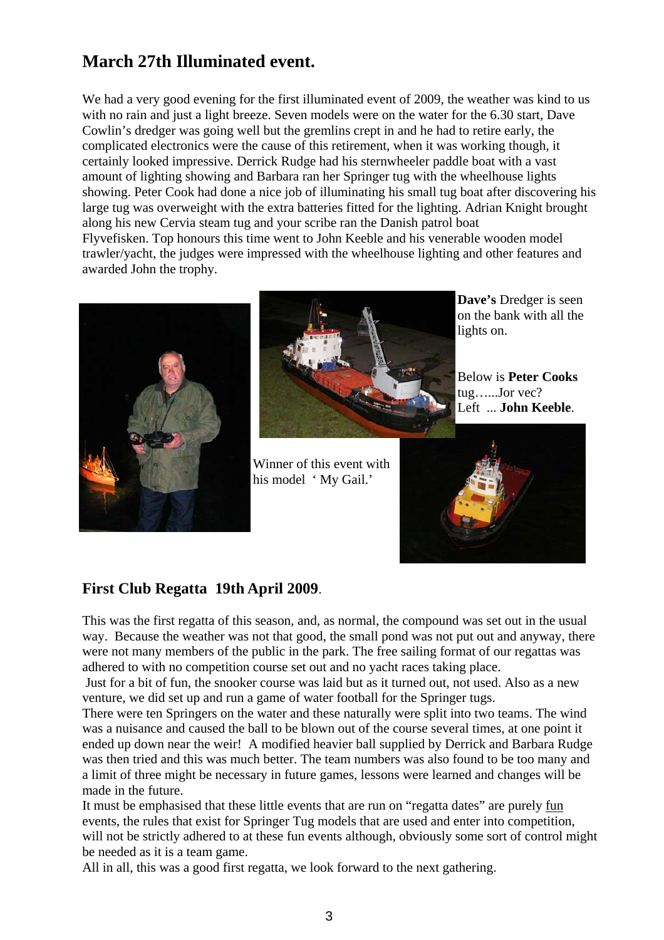# **March 27th Illuminated event.**

We had a very good evening for the first illuminated event of 2009, the weather was kind to us with no rain and just a light breeze. Seven models were on the water for the 6.30 start, Dave Cowlin's dredger was going well but the gremlins crept in and he had to retire early, the complicated electronics were the cause of this retirement, when it was working though, it certainly looked impressive. Derrick Rudge had his sternwheeler paddle boat with a vast amount of lighting showing and Barbara ran her Springer tug with the wheelhouse lights showing. Peter Cook had done a nice job of illuminating his small tug boat after discovering his large tug was overweight with the extra batteries fitted for the lighting. Adrian Knight brought along his new Cervia steam tug and your scribe ran the Danish patrol boat Flyvefisken. Top honours this time went to John Keeble and his venerable wooden model trawler/yacht, the judges were impressed with the wheelhouse lighting and other features and awarded John the trophy.





Winner of this event with his model 'My Gail.'

**Dave's** Dredger is seen on the bank with all the lights on.

Below is **Peter Cooks**  tug…...Jor vec? Left ... **John Keeble**.



# **First Club Regatta 19th April 2009**.

This was the first regatta of this season, and, as normal, the compound was set out in the usual way. Because the weather was not that good, the small pond was not put out and anyway, there were not many members of the public in the park. The free sailing format of our regattas was adhered to with no competition course set out and no yacht races taking place.

 Just for a bit of fun, the snooker course was laid but as it turned out, not used. Also as a new venture, we did set up and run a game of water football for the Springer tugs.

There were ten Springers on the water and these naturally were split into two teams. The wind was a nuisance and caused the ball to be blown out of the course several times, at one point it ended up down near the weir! A modified heavier ball supplied by Derrick and Barbara Rudge was then tried and this was much better. The team numbers was also found to be too many and a limit of three might be necessary in future games, lessons were learned and changes will be made in the future.

It must be emphasised that these little events that are run on "regatta dates" are purely fun events, the rules that exist for Springer Tug models that are used and enter into competition, will not be strictly adhered to at these fun events although, obviously some sort of control might be needed as it is a team game.

All in all, this was a good first regatta, we look forward to the next gathering.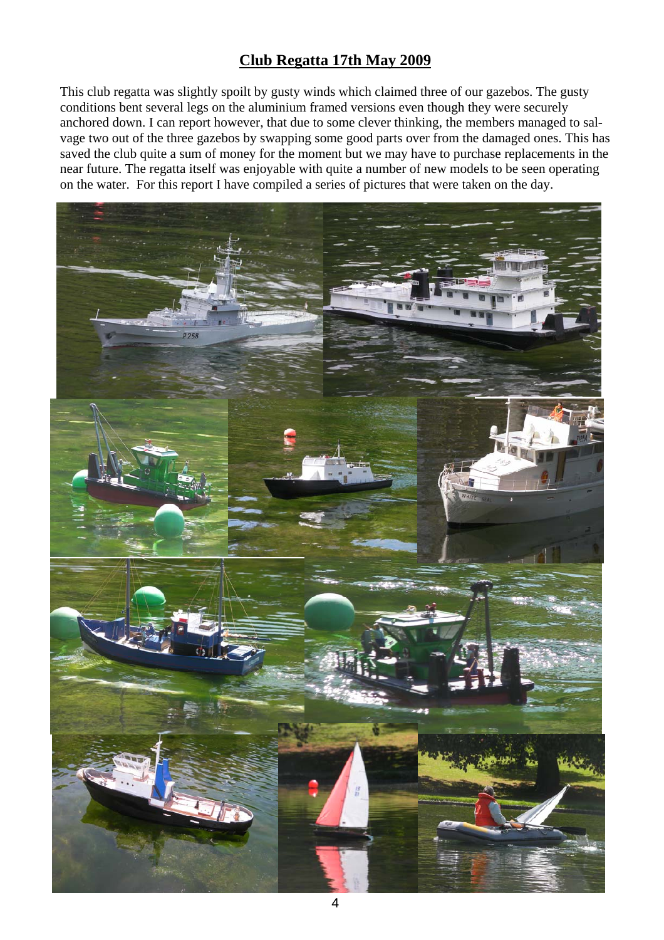# **Club Regatta 17th May 2009**

This club regatta was slightly spoilt by gusty winds which claimed three of our gazebos. The gusty conditions bent several legs on the aluminium framed versions even though they were securely anchored down. I can report however, that due to some clever thinking, the members managed to salvage two out of the three gazebos by swapping some good parts over from the damaged ones. This has saved the club quite a sum of money for the moment but we may have to purchase replacements in the near future. The regatta itself was enjoyable with quite a number of new models to be seen operating on the water. For this report I have compiled a series of pictures that were taken on the day.

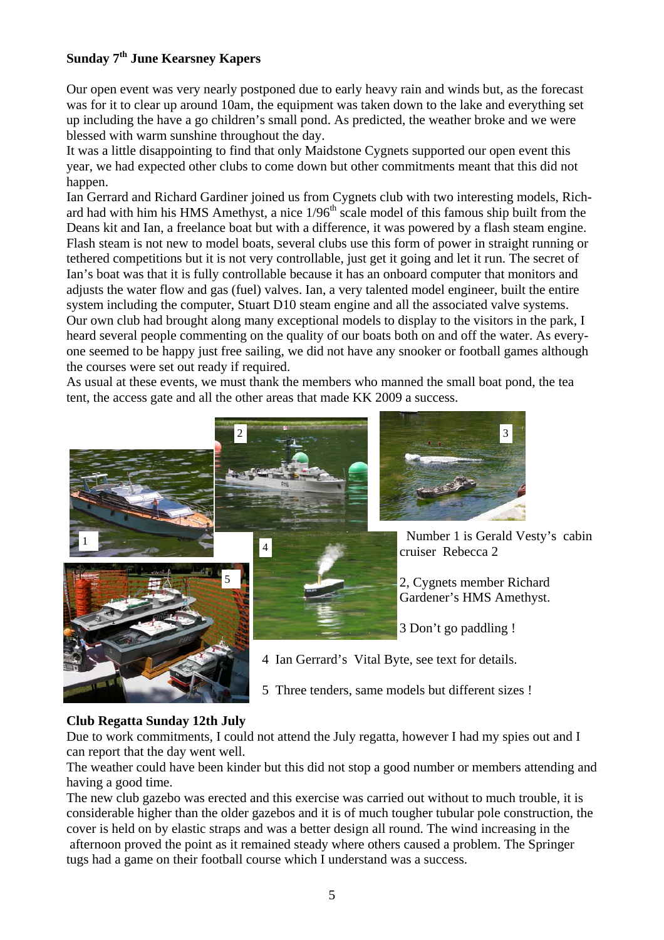#### **Sunday 7th June Kearsney Kapers**

Our open event was very nearly postponed due to early heavy rain and winds but, as the forecast was for it to clear up around 10am, the equipment was taken down to the lake and everything set up including the have a go children's small pond. As predicted, the weather broke and we were blessed with warm sunshine throughout the day.

It was a little disappointing to find that only Maidstone Cygnets supported our open event this year, we had expected other clubs to come down but other commitments meant that this did not happen.

Ian Gerrard and Richard Gardiner joined us from Cygnets club with two interesting models, Richard had with him his HMS Amethyst, a nice  $1/96<sup>th</sup>$  scale model of this famous ship built from the Deans kit and Ian, a freelance boat but with a difference, it was powered by a flash steam engine. Flash steam is not new to model boats, several clubs use this form of power in straight running or tethered competitions but it is not very controllable, just get it going and let it run. The secret of Ian's boat was that it is fully controllable because it has an onboard computer that monitors and adjusts the water flow and gas (fuel) valves. Ian, a very talented model engineer, built the entire system including the computer, Stuart D10 steam engine and all the associated valve systems. Our own club had brought along many exceptional models to display to the visitors in the park, I heard several people commenting on the quality of our boats both on and off the water. As everyone seemed to be happy just free sailing, we did not have any snooker or football games although the courses were set out ready if required.

As usual at these events, we must thank the members who manned the small boat pond, the tea tent, the access gate and all the other areas that made KK 2009 a success.



5 Three tenders, same models but different sizes !

#### **Club Regatta Sunday 12th July**

Due to work commitments, I could not attend the July regatta, however I had my spies out and I can report that the day went well.

The weather could have been kinder but this did not stop a good number or members attending and having a good time.

The new club gazebo was erected and this exercise was carried out without to much trouble, it is considerable higher than the older gazebos and it is of much tougher tubular pole construction, the cover is held on by elastic straps and was a better design all round. The wind increasing in the afternoon proved the point as it remained steady where others caused a problem. The Springer tugs had a game on their football course which I understand was a success.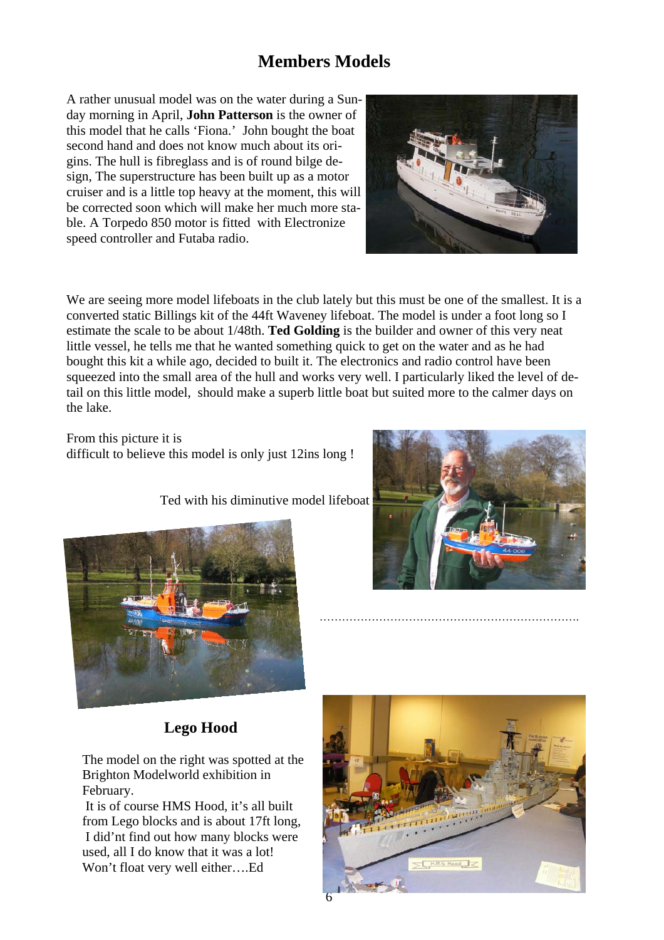# **Members Models**

A rather unusual model was on the water during a Sunday morning in April, **John Patterson** is the owner of this model that he calls 'Fiona.' John bought the boat second hand and does not know much about its origins. The hull is fibreglass and is of round bilge design, The superstructure has been built up as a motor cruiser and is a little top heavy at the moment, this will be corrected soon which will make her much more stable. A Torpedo 850 motor is fitted with Electronize speed controller and Futaba radio.



We are seeing more model lifeboats in the club lately but this must be one of the smallest. It is a converted static Billings kit of the 44ft Waveney lifeboat. The model is under a foot long so I estimate the scale to be about 1/48th. **Ted Golding** is the builder and owner of this very neat little vessel, he tells me that he wanted something quick to get on the water and as he had bought this kit a while ago, decided to built it. The electronics and radio control have been squeezed into the small area of the hull and works very well. I particularly liked the level of detail on this little model, should make a superb little boat but suited more to the calmer days on the lake.

From this picture it is difficult to believe this model is only just 12ins long !

Ted with his diminutive model lifeboat





# **Lego Hood**

The model on the right was spotted at the Brighton Modelworld exhibition in February.

 It is of course HMS Hood, it's all built from Lego blocks and is about 17ft long, I did'nt find out how many blocks were used, all I do know that it was a lot! Won't float very well either….Ed



…………………………………………………………….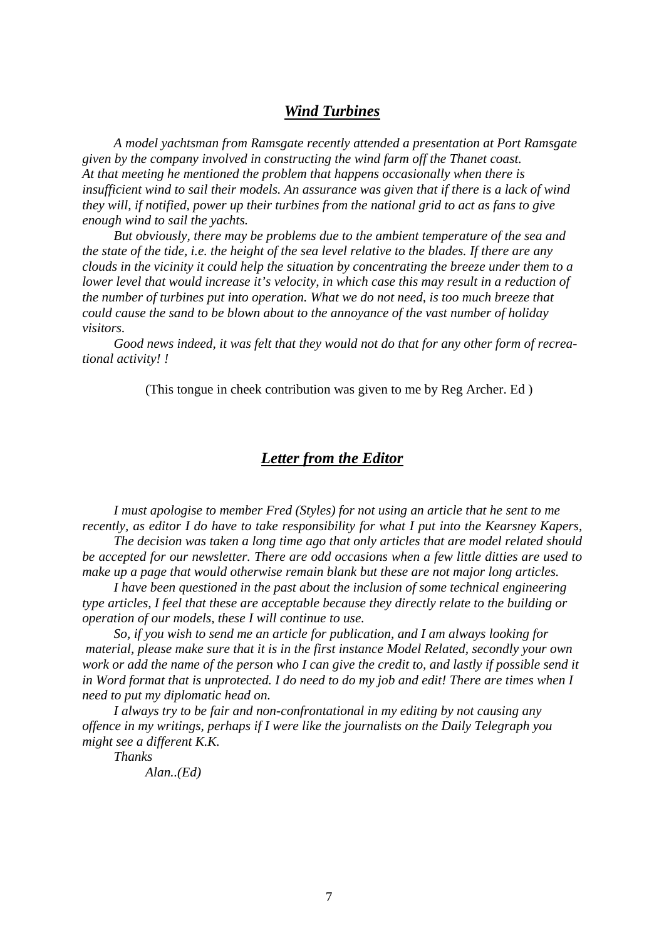#### *Wind Turbines*

 *A model yachtsman from Ramsgate recently attended a presentation at Port Ramsgate given by the company involved in constructing the wind farm off the Thanet coast. At that meeting he mentioned the problem that happens occasionally when there is insufficient wind to sail their models. An assurance was given that if there is a lack of wind they will, if notified, power up their turbines from the national grid to act as fans to give enough wind to sail the yachts.* 

 *But obviously, there may be problems due to the ambient temperature of the sea and the state of the tide, i.e. the height of the sea level relative to the blades. If there are any clouds in the vicinity it could help the situation by concentrating the breeze under them to a lower level that would increase it's velocity, in which case this may result in a reduction of the number of turbines put into operation. What we do not need, is too much breeze that could cause the sand to be blown about to the annoyance of the vast number of holiday visitors.* 

 *Good news indeed, it was felt that they would not do that for any other form of recreational activity! !* 

(This tongue in cheek contribution was given to me by Reg Archer. Ed )

#### *Letter from the Editor*

 *I must apologise to member Fred (Styles) for not using an article that he sent to me recently, as editor I do have to take responsibility for what I put into the Kearsney Kapers,* 

 *The decision was taken a long time ago that only articles that are model related should be accepted for our newsletter. There are odd occasions when a few little ditties are used to make up a page that would otherwise remain blank but these are not major long articles.* 

 *I have been questioned in the past about the inclusion of some technical engineering type articles, I feel that these are acceptable because they directly relate to the building or operation of our models, these I will continue to use.* 

 *So, if you wish to send me an article for publication, and I am always looking for material, please make sure that it is in the first instance Model Related, secondly your own work or add the name of the person who I can give the credit to, and lastly if possible send it in Word format that is unprotected. I do need to do my job and edit! There are times when I need to put my diplomatic head on.* 

 *I always try to be fair and non-confrontational in my editing by not causing any offence in my writings, perhaps if I were like the journalists on the Daily Telegraph you might see a different K.K.* 

 *Thanks* 

 *Alan..(Ed)*